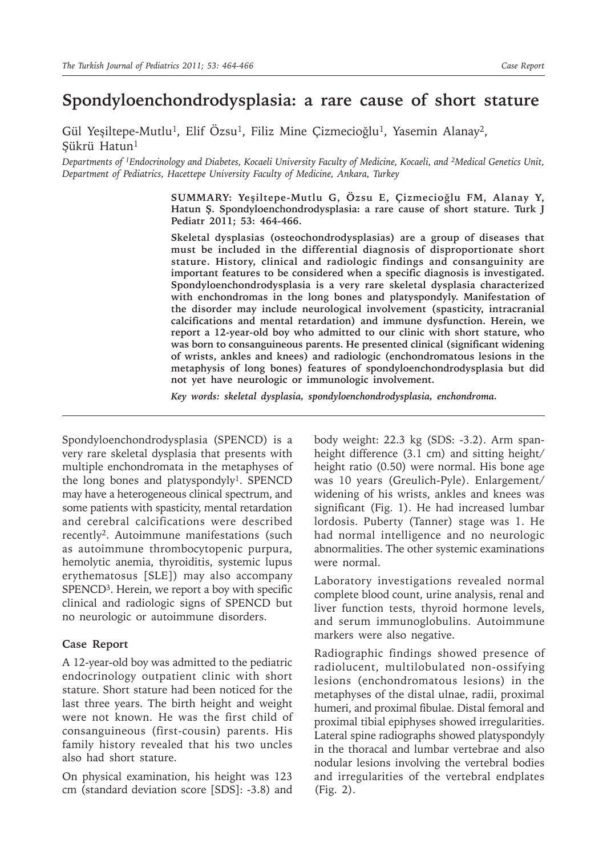## **Spondyloenchondrodysplasia: a rare cause of short stature**

Gül Yeşiltepe-Mutlu<sup>1</sup>, Elif Özsu<sup>1</sup>, Filiz Mine Çizmecioğlu<sup>1</sup>, Yasemin Alanay<sup>2</sup>, Şükrü Hatun1

*Departments of 1Endocrinology and Diabetes, Kocaeli University Faculty of Medicine, Kocaeli, and 2Medical Genetics Unit, Department of Pediatrics, Hacettepe University Faculty of Medicine, Ankara, Turkey* 

> **SUMMARY: Yeşiltepe-Mutlu G, Özsu E, Çizmecioğlu FM, Alanay Y, Hatun Ş. Spondyloenchondrodysplasia: a rare cause of short stature. Turk J Pediatr 2011; 53: 464-466.**

> **Skeletal dysplasias (osteochondrodysplasias) are a group of diseases that must be included in the differential diagnosis of disproportionate short stature. History, clinical and radiologic findings and consanguinity are important features to be considered when a specific diagnosis is investigated. Spondyloenchondrodysplasia is a very rare skeletal dysplasia characterized with enchondromas in the long bones and platyspondyly. Manifestation of the disorder may include neurological involvement (spasticity, intracranial calcifications and mental retardation) and immune dysfunction. Herein, we report a 12-year-old boy who admitted to our clinic with short stature, who was born to consanguineous parents. He presented clinical (significant widening of wrists, ankles and knees) and radiologic (enchondromatous lesions in the metaphysis of long bones) features of spondyloenchondrodysplasia but did not yet have neurologic or immunologic involvement.**

*Key words: skeletal dysplasia, spondyloenchondrodysplasia, enchondroma.*

Spondyloenchondrodysplasia (SPENCD) is a very rare skeletal dysplasia that presents with multiple enchondromata in the metaphyses of the long bones and platyspondyly<sup>1</sup>. SPENCD may have a heterogeneous clinical spectrum, and some patients with spasticity, mental retardation and cerebral calcifications were described recently2. Autoimmune manifestations (such as autoimmune thrombocytopenic purpura, hemolytic anemia, thyroiditis, systemic lupus erythematosus [SLE]) may also accompany SPENCD<sup>3</sup>. Herein, we report a boy with specific clinical and radiologic signs of SPENCD but no neurologic or autoimmune disorders.

## **Case Report**

A 12-year-old boy was admitted to the pediatric endocrinology outpatient clinic with short stature. Short stature had been noticed for the last three years. The birth height and weight were not known. He was the first child of consanguineous (first-cousin) parents. His family history revealed that his two uncles also had short stature.

On physical examination, his height was 123 cm (standard deviation score [SDS]: -3.8) and

body weight: 22.3 kg (SDS: -3.2). Arm spanheight difference (3.1 cm) and sitting height/ height ratio (0.50) were normal. His bone age was 10 years (Greulich-Pyle). Enlargement/ widening of his wrists, ankles and knees was significant (Fig. 1). He had increased lumbar lordosis. Puberty (Tanner) stage was 1. He had normal intelligence and no neurologic abnormalities. The other systemic examinations were normal.

Laboratory investigations revealed normal complete blood count, urine analysis, renal and liver function tests, thyroid hormone levels, and serum immunoglobulins. Autoimmune markers were also negative.

Radiographic findings showed presence of radiolucent, multilobulated non-ossifying lesions (enchondromatous lesions) in the metaphyses of the distal ulnae, radii, proximal humeri, and proximal fibulae. Distal femoral and proximal tibial epiphyses showed irregularities. Lateral spine radiographs showed platyspondyly in the thoracal and lumbar vertebrae and also nodular lesions involving the vertebral bodies and irregularities of the vertebral endplates (Fig. 2).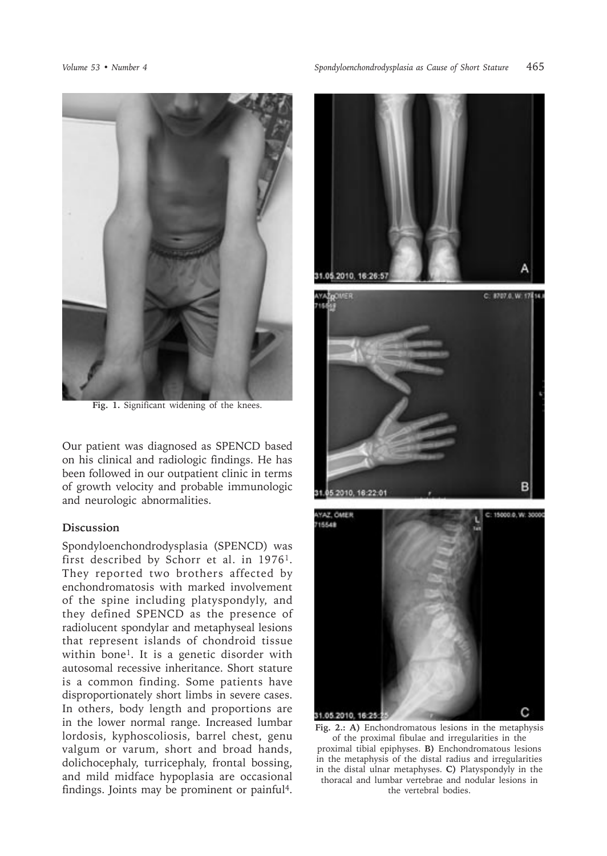

Fig. 1. Significant widening of the knees.

Our patient was diagnosed as SPENCD based on his clinical and radiologic findings. He has been followed in our outpatient clinic in terms of growth velocity and probable immunologic and neurologic abnormalities.

## **Discussion**

Spondyloenchondrodysplasia (SPENCD) was first described by Schorr et al. in 1976<sup>1</sup>. They reported two brothers affected by enchondromatosis with marked involvement of the spine including platyspondyly, and they defined SPENCD as the presence of radiolucent spondylar and metaphyseal lesions that represent islands of chondroid tissue within bone<sup>1</sup>. It is a genetic disorder with autosomal recessive inheritance. Short stature is a common finding. Some patients have disproportionately short limbs in severe cases. In others, body length and proportions are in the lower normal range. Increased lumbar lordosis, kyphoscoliosis, barrel chest, genu valgum or varum, short and broad hands, dolichocephaly, turricephaly, frontal bossing, and mild midface hypoplasia are occasional findings. Joints may be prominent or painful4.







**Fig. 2.: A)** Enchondromatous lesions in the metaphysis of the proximal fibulae and irregularities in the proximal tibial epiphyses. **B)** Enchondromatous lesions in the metaphysis of the distal radius and irregularities in the distal ulnar metaphyses. **C)** Platyspondyly in the thoracal and lumbar vertebrae and nodular lesions in the vertebral bodies.